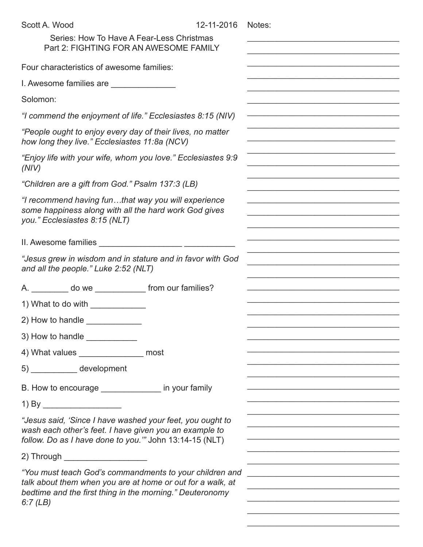| Scott A. Wood                                                                                                                                                                                   | 12-11-2016 | Notes: |
|-------------------------------------------------------------------------------------------------------------------------------------------------------------------------------------------------|------------|--------|
| Series: How To Have A Fear-Less Christmas<br>Part 2: FIGHTING FOR AN AWESOME FAMILY                                                                                                             |            |        |
| Four characteristics of awesome families:                                                                                                                                                       |            |        |
| I. Awesome families are                                                                                                                                                                         |            |        |
| Solomon:                                                                                                                                                                                        |            |        |
| "I commend the enjoyment of life." Ecclesiastes 8:15 (NIV)                                                                                                                                      |            |        |
| "People ought to enjoy every day of their lives, no matter<br>how long they live." Ecclesiastes 11:8a (NCV)                                                                                     |            |        |
| "Enjoy life with your wife, whom you love." Ecclesiastes 9:9<br>(NIV)                                                                                                                           |            |        |
| "Children are a gift from God." Psalm 137:3 (LB)                                                                                                                                                |            |        |
| "I recommend having funthat way you will experience<br>some happiness along with all the hard work God gives<br>you." Ecclesiastes 8:15 (NLT)                                                   |            |        |
|                                                                                                                                                                                                 |            |        |
| "Jesus grew in wisdom and in stature and in favor with God<br>and all the people." Luke 2:52 (NLT)                                                                                              |            |        |
| A. __________ do we _______________ from our families?                                                                                                                                          |            |        |
| 1) What to do with $\_\_\_\_\_\_\_\_\_\_\_\_\_\_\_\_\_$                                                                                                                                         |            |        |
| 2) How to handle $\_\_$                                                                                                                                                                         |            |        |
| 3) How to handle                                                                                                                                                                                |            |        |
| 4) What values ________________ most                                                                                                                                                            |            |        |
| 5) _____________ development                                                                                                                                                                    |            |        |
| B. How to encourage _______________ in your family                                                                                                                                              |            |        |
|                                                                                                                                                                                                 |            |        |
| "Jesus said, 'Since I have washed your feet, you ought to<br>wash each other's feet. I have given you an example to<br>follow. Do as I have done to you." John 13:14-15 (NLT)                   |            |        |
| 2) Through _____________________                                                                                                                                                                |            |        |
| "You must teach God's commandments to your children and<br>talk about them when you are at home or out for a walk, at<br>bedtime and the first thing in the morning." Deuteronomy<br>6:7 $(LB)$ |            |        |

\_\_\_\_\_\_\_\_\_\_\_\_\_\_\_\_\_\_\_\_\_\_\_\_\_\_\_\_\_\_\_\_\_\_\_\_